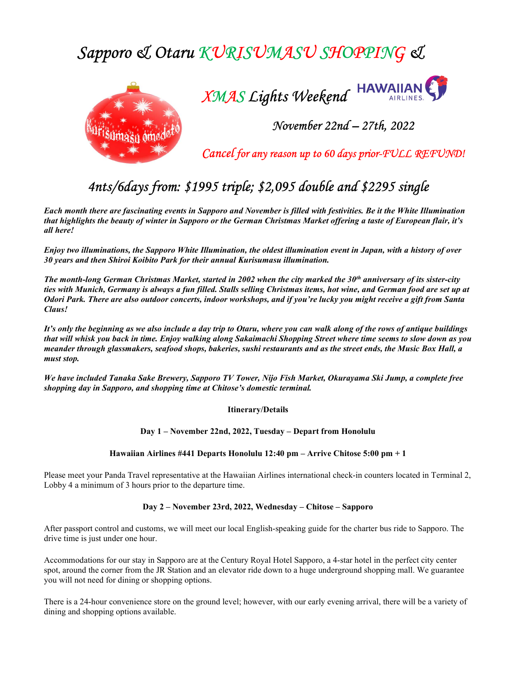# Sapporo & Otaru KURISUMASU SHOPPING &





November 22nd – 27th, 2022

Cancel for any reason up to 60 days prior-FULL REFUND!

# 4nts/6days from: \$1995 triple; \$2,095 double and \$2295 single

Each month there are fascinating events in Sapporo and November is filled with festivities. Be it the White Illumination that highlights the beauty of winter in Sapporo or the German Christmas Market offering a taste of European flair, it's all here!

Enjoy two illuminations, the Sapporo White Illumination, the oldest illumination event in Japan, with a history of over 30 years and then Shiroi Koibito Park for their annual Kurisumasu illumination.

The month-long German Christmas Market, started in 2002 when the city marked the  $30<sup>th</sup>$  anniversary of its sister-city ties with Munich, Germany is always a fun filled. Stalls selling Christmas items, hot wine, and German food are set up at Odori Park. There are also outdoor concerts, indoor workshops, and if you're lucky you might receive a gift from Santa Claus!

It's only the beginning as we also include a day trip to Otaru, where you can walk along of the rows of antique buildings that will whisk you back in time. Enjoy walking along Sakaimachi Shopping Street where time seems to slow down as you meander through glassmakers, seafood shops, bakeries, sushi restaurants and as the street ends, the Music Box Hall, a must stop.

We have included Tanaka Sake Brewery, Sapporo TV Tower, Nijo Fish Market, Okurayama Ski Jump, a complete free shopping day in Sapporo, and shopping time at Chitose's domestic terminal.

#### Itinerary/Details

#### Day 1 – November 22nd, 2022, Tuesday – Depart from Honolulu

#### Hawaiian Airlines #441 Departs Honolulu 12:40 pm – Arrive Chitose 5:00 pm + 1

Please meet your Panda Travel representative at the Hawaiian Airlines international check-in counters located in Terminal 2, Lobby 4 a minimum of 3 hours prior to the departure time.

#### Day 2 – November 23rd, 2022, Wednesday – Chitose – Sapporo

After passport control and customs, we will meet our local English-speaking guide for the charter bus ride to Sapporo. The drive time is just under one hour.

Accommodations for our stay in Sapporo are at the Century Royal Hotel Sapporo, a 4-star hotel in the perfect city center spot, around the corner from the JR Station and an elevator ride down to a huge underground shopping mall. We guarantee you will not need for dining or shopping options.

There is a 24-hour convenience store on the ground level; however, with our early evening arrival, there will be a variety of dining and shopping options available.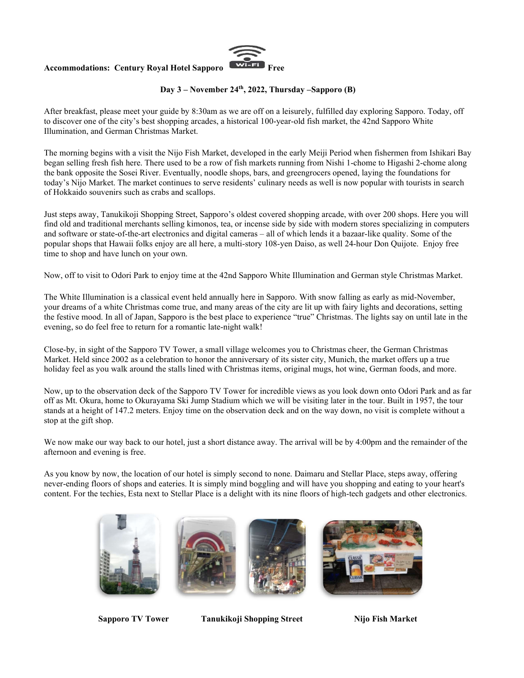# Accommodations: Century Royal Hotel Sapporo



# Day 3 – November 24<sup>th</sup>, 2022, Thursday –Sapporo (B)

After breakfast, please meet your guide by 8:30am as we are off on a leisurely, fulfilled day exploring Sapporo. Today, off to discover one of the city's best shopping arcades, a historical 100-year-old fish market, the 42nd Sapporo White Illumination, and German Christmas Market.

The morning begins with a visit the Nijo Fish Market, developed in the early Meiji Period when fishermen from Ishikari Bay began selling fresh fish here. There used to be a row of fish markets running from Nishi 1-chome to Higashi 2-chome along the bank opposite the Sosei River. Eventually, noodle shops, bars, and greengrocers opened, laying the foundations for today's Nijo Market. The market continues to serve residents' culinary needs as well is now popular with tourists in search of Hokkaido souvenirs such as crabs and scallops.

Just steps away, Tanukikoji Shopping Street, Sapporo's oldest covered shopping arcade, with over 200 shops. Here you will find old and traditional merchants selling kimonos, tea, or incense side by side with modern stores specializing in computers and software or state-of-the-art electronics and digital cameras – all of which lends it a bazaar-like quality. Some of the popular shops that Hawaii folks enjoy are all here, a multi-story 108-yen Daiso, as well 24-hour Don Quijote. Enjoy free time to shop and have lunch on your own.

Now, off to visit to Odori Park to enjoy time at the 42nd Sapporo White Illumination and German style Christmas Market.

The White Illumination is a classical event held annually here in Sapporo. With snow falling as early as mid-November, your dreams of a white Christmas come true, and many areas of the city are lit up with fairy lights and decorations, setting the festive mood. In all of Japan, Sapporo is the best place to experience "true" Christmas. The lights say on until late in the evening, so do feel free to return for a romantic late-night walk!

Close-by, in sight of the Sapporo TV Tower, a small village welcomes you to Christmas cheer, the German Christmas Market. Held since 2002 as a celebration to honor the anniversary of its sister city, Munich, the market offers up a true holiday feel as you walk around the stalls lined with Christmas items, original mugs, hot wine, German foods, and more.

Now, up to the observation deck of the Sapporo TV Tower for incredible views as you look down onto Odori Park and as far off as Mt. Okura, home to Okurayama Ski Jump Stadium which we will be visiting later in the tour. Built in 1957, the tour stands at a height of 147.2 meters. Enjoy time on the observation deck and on the way down, no visit is complete without a stop at the gift shop.

We now make our way back to our hotel, just a short distance away. The arrival will be by 4:00pm and the remainder of the afternoon and evening is free.

As you know by now, the location of our hotel is simply second to none. Daimaru and Stellar Place, steps away, offering never-ending floors of shops and eateries. It is simply mind boggling and will have you shopping and eating to your heart's content. For the techies, Esta next to Stellar Place is a delight with its nine floors of high-tech gadgets and other electronics.





Sapporo TV Tower Tanukikoji Shopping Street Nijo Fish Market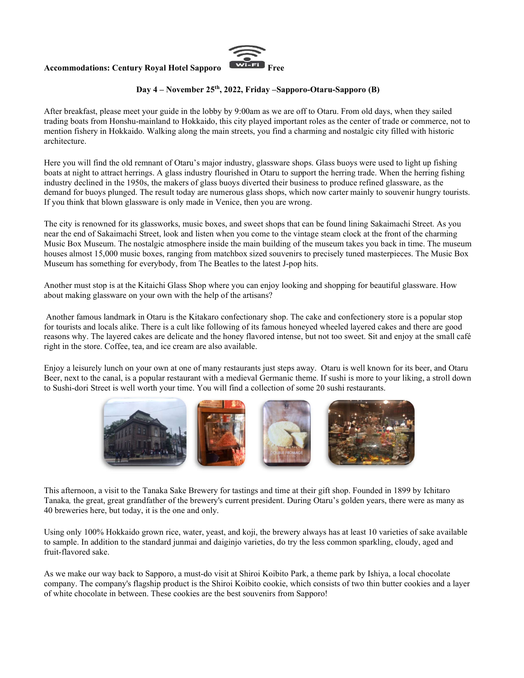#### Accommodations: Century Royal Hotel Sapporo



# Day 4 – November 25<sup>th</sup>, 2022, Friday –Sapporo-Otaru-Sapporo (B)

After breakfast, please meet your guide in the lobby by 9:00am as we are off to Otaru. From old days, when they sailed trading boats from Honshu-mainland to Hokkaido, this city played important roles as the center of trade or commerce, not to mention fishery in Hokkaido. Walking along the main streets, you find a charming and nostalgic city filled with historic architecture.

Here you will find the old remnant of Otaru's major industry, glassware shops. Glass buoys were used to light up fishing boats at night to attract herrings. A glass industry flourished in Otaru to support the herring trade. When the herring fishing industry declined in the 1950s, the makers of glass buoys diverted their business to produce refined glassware, as the demand for buoys plunged. The result today are numerous glass shops, which now carter mainly to souvenir hungry tourists. If you think that blown glassware is only made in Venice, then you are wrong.

The city is renowned for its glassworks, music boxes, and sweet shops that can be found lining Sakaimachi Street. As you near the end of Sakaimachi Street, look and listen when you come to the vintage steam clock at the front of the charming Music Box Museum. The nostalgic atmosphere inside the main building of the museum takes you back in time. The museum houses almost 15,000 music boxes, ranging from matchbox sized souvenirs to precisely tuned masterpieces. The Music Box Museum has something for everybody, from The Beatles to the latest J-pop hits.

Another must stop is at the Kitaichi Glass Shop where you can enjoy looking and shopping for beautiful glassware. How about making glassware on your own with the help of the artisans?

 Another famous landmark in Otaru is the Kitakaro confectionary shop. The cake and confectionery store is a popular stop for tourists and locals alike. There is a cult like following of its famous honeyed wheeled layered cakes and there are good reasons why. The layered cakes are delicate and the honey flavored intense, but not too sweet. Sit and enjoy at the small café right in the store. Coffee, tea, and ice cream are also available.

Enjoy a leisurely lunch on your own at one of many restaurants just steps away. Otaru is well known for its beer, and Otaru Beer, next to the canal, is a popular restaurant with a medieval Germanic theme. If sushi is more to your liking, a stroll down to Sushi-dori Street is well worth your time. You will find a collection of some 20 sushi restaurants.



This afternoon, a visit to the Tanaka Sake Brewery for tastings and time at their gift shop. Founded in 1899 by Ichitaro Tanaka, the great, great grandfather of the brewery's current president. During Otaru's golden years, there were as many as 40 breweries here, but today, it is the one and only.

Using only 100% Hokkaido grown rice, water, yeast, and koji, the brewery always has at least 10 varieties of sake available to sample. In addition to the standard junmai and daiginjo varieties, do try the less common sparkling, cloudy, aged and fruit-flavored sake.

As we make our way back to Sapporo, a must-do visit at Shiroi Koibito Park, a theme park by Ishiya, a local chocolate company. The company's flagship product is the Shiroi Koibito cookie, which consists of two thin butter cookies and a layer of white chocolate in between. These cookies are the best souvenirs from Sapporo!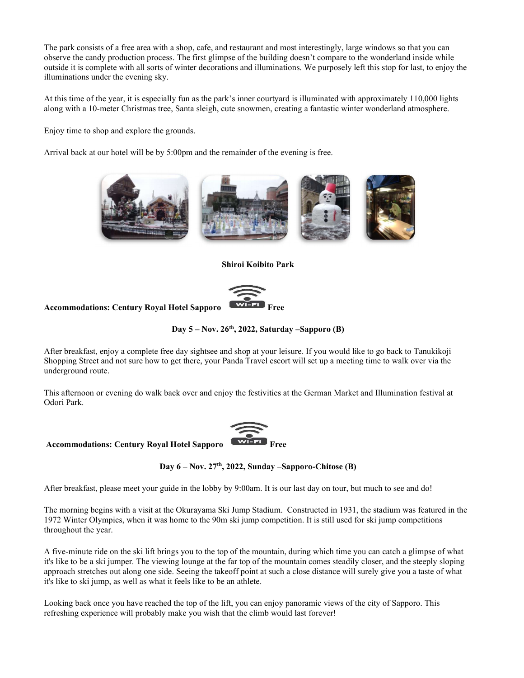The park consists of a free area with a shop, cafe, and restaurant and most interestingly, large windows so that you can observe the candy production process. The first glimpse of the building doesn't compare to the wonderland inside while outside it is complete with all sorts of winter decorations and illuminations. We purposely left this stop for last, to enjoy the illuminations under the evening sky.

At this time of the year, it is especially fun as the park's inner courtyard is illuminated with approximately 110,000 lights along with a 10-meter Christmas tree, Santa sleigh, cute snowmen, creating a fantastic winter wonderland atmosphere.

Enjoy time to shop and explore the grounds.

Arrival back at our hotel will be by 5:00pm and the remainder of the evening is free.



Shiroi Koibito Park



# Accommodations: Century Royal Hotel Sapporo

Day  $5 - Nov. 26<sup>th</sup>$ , 2022, Saturday –Sapporo (B)

After breakfast, enjoy a complete free day sightsee and shop at your leisure. If you would like to go back to Tanukikoji Shopping Street and not sure how to get there, your Panda Travel escort will set up a meeting time to walk over via the underground route.

This afternoon or evening do walk back over and enjoy the festivities at the German Market and Illumination festival at Odori Park.



Accommodations: Century Royal Hotel Sapporo

Day  $6 - Now. 27<sup>th</sup>, 2022, Sunday -Sapporo-Chitose (B)$ 

After breakfast, please meet your guide in the lobby by 9:00am. It is our last day on tour, but much to see and do!

The morning begins with a visit at the Okurayama Ski Jump Stadium. Constructed in 1931, the stadium was featured in the 1972 Winter Olympics, when it was home to the 90m ski jump competition. It is still used for ski jump competitions throughout the year.

A five-minute ride on the ski lift brings you to the top of the mountain, during which time you can catch a glimpse of what it's like to be a ski jumper. The viewing lounge at the far top of the mountain comes steadily closer, and the steeply sloping approach stretches out along one side. Seeing the takeoff point at such a close distance will surely give you a taste of what it's like to ski jump, as well as what it feels like to be an athlete.

Looking back once you have reached the top of the lift, you can enjoy panoramic views of the city of Sapporo. This refreshing experience will probably make you wish that the climb would last forever!